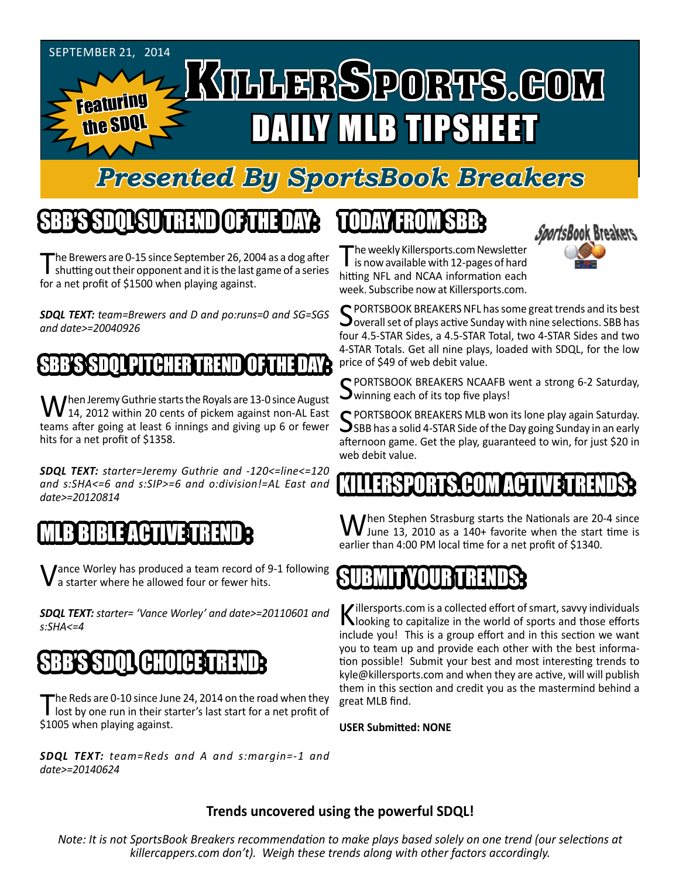

# *Presented By SportsBook Breakers*

# SBB'S SDQL SU TREND OF THE DAY:

The Brewers are 0-15 since September 26, 2004 as a dog after<br>shutting out their opponent and it is the last game of a series for a net profit of \$1500 when playing against.

*SDQL TEXT: team=Brewers and D and po:runs=0 and SG=SGS and date>=20040926*

#### SBB'S SDQL PITCHER TREN

When Jeremy Guthrie starts the Royals are 13-0 since August<br>14, 2012 within 20 cents of pickem against non-AL East teams after going at least 6 innings and giving up 6 or fewer hits for a net profit of \$1358.

*SDQL TEXT: starter=Jeremy Guthrie and -120<=line<=120 and s:SHA<=6 and s:SIP>=6 and o:division!=AL East and date>=20120814*

## **B BIBLE ACTIVE TREN**

Vance Worley has produced a team record of 9-1 following a starter where he allowed four or fewer hits.

*SDQL TEXT: starter= 'Vance Worley' and date>=20110601 and s:SHA<=4*

## SBB'S SDQL CHOICE TREND

The Reds are 0-10 since June 24, 2014 on the road when they lost by one run in their starter's last start for a net profit of \$1005 when playing against.

*SDQL TEXT: team=Reds and A and s:margin=-1 and date>=20140624*

# TODAY HAOMSBB



The weekly Killersports.com Newsletter<br>is now available with 12-pages of hard hitting NFL and NCAA information each week. Subscribe now at Killersports.com.

SPORTSBOOK BREAKERS NFL has some great trends and its best<br>Soverall set of plays active Sunday with nine selections. SBB has four 4.5-STAR Sides, a 4.5-STAR Total, two 4-STAR Sides and two 4-STAR Totals. Get all nine plays, loaded with SDQL, for the low price of \$49 of web debit value.

C PORTSBOOK BREAKERS NCAAFB went a strong 6-2 Saturday,  $\mathbf{\mathcal{S}}$  winning each of its top five plays!

SPORTSBOOK BREAKERS MLB won its lone play again Saturday.<br>SBB has a solid 4-STAR Side of the Day going Sunday in an early afternoon game. Get the play, guaranteed to win, for just \$20 in web debit value.

# KILLERSPORTS.COM ACTI

When Stephen Strasburg starts the Nationals are 20-4 since<br>June 13, 2010 as a 140+ favorite when the start time is earlier than 4:00 PM local time for a net profit of \$1340.

#### **SUBMIT YOUR!**

Killersports.com is a collected effort of smart, savvy individuals<br>Nooking to capitalize in the world of sports and those efforts include you! This is a group effort and in this section we want you to team up and provide each other with the best information possible! Submit your best and most interesting trends to kyle@killersports.com and when they are active, will will publish them in this section and credit you as the mastermind behind a great MLB find.

**USER Submitted: NONE**

#### **Trends uncovered using the powerful SDQL!**

*Note: It is not SportsBook Breakers recommendation to make plays based solely on one trend (our selections at killercappers.com don't). Weigh these trends along with other factors accordingly.*